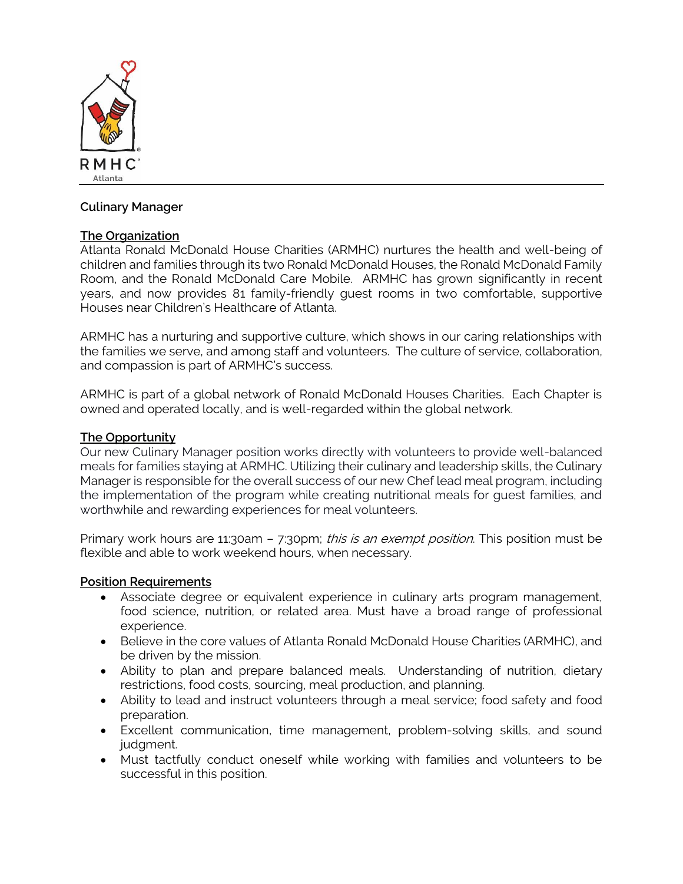

# **Culinary Manager**

# **The Organization**

Atlanta Ronald McDonald House Charities (ARMHC) nurtures the health and well-being of children and families through its two Ronald McDonald Houses, the Ronald McDonald Family Room, and the Ronald McDonald Care Mobile. ARMHC has grown significantly in recent years, and now provides 81 family-friendly guest rooms in two comfortable, supportive Houses near Children's Healthcare of Atlanta.

ARMHC has a nurturing and supportive culture, which shows in our caring relationships with the families we serve, and among staff and volunteers. The culture of service, collaboration, and compassion is part of ARMHC's success.

ARMHC is part of a global network of Ronald McDonald Houses Charities. Each Chapter is owned and operated locally, and is well-regarded within the global network.

## **The Opportunity**

Our new Culinary Manager position works directly with volunteers to provide well-balanced meals for families staying at ARMHC. Utilizing their culinary and leadership skills, the Culinary Manager is responsible for the overall success of our new Chef lead meal program, including the implementation of the program while creating nutritional meals for guest families, and worthwhile and rewarding experiences for meal volunteers.

Primary work hours are 11:30am - 7:30pm; *this is an exempt position*. This position must be flexible and able to work weekend hours, when necessary.

## **Position Requirements**

- Associate degree or equivalent experience in culinary arts program management, food science, nutrition, or related area. Must have a broad range of professional experience.
- Believe in the core values of Atlanta Ronald McDonald House Charities (ARMHC), and be driven by the mission.
- Ability to plan and prepare balanced meals. Understanding of nutrition, dietary restrictions, food costs, sourcing, meal production, and planning.
- Ability to lead and instruct volunteers through a meal service; food safety and food preparation.
- Excellent communication, time management, problem-solving skills, and sound judament.
- Must tactfully conduct oneself while working with families and volunteers to be successful in this position.